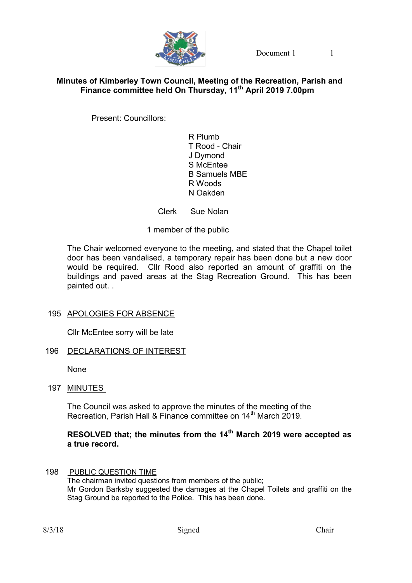

Document 1 1

## Minutes of Kimberley Town Council, Meeting of the Recreation, Parish and Finance committee held On Thursday, 11<sup>th</sup> April 2019 7.00pm

Present: Councillors:

 R Plumb T Rood - Chair J Dymond S McEntee B Samuels MBE R Woods N Oakden

Clerk Sue Nolan

1 member of the public

The Chair welcomed everyone to the meeting, and stated that the Chapel toilet door has been vandalised, a temporary repair has been done but a new door would be required. Cllr Rood also reported an amount of graffiti on the buildings and paved areas at the Stag Recreation Ground. This has been painted out. .

## 195 APOLOGIES FOR ABSENCE

Cllr McEntee sorry will be late

## 196 DECLARATIONS OF INTEREST

None

197 MINUTES

The Council was asked to approve the minutes of the meeting of the Recreation, Parish Hall & Finance committee on 14<sup>th</sup> March 2019.

# RESOLVED that; the minutes from the 14<sup>th</sup> March 2019 were accepted as a true record.

 198 PUBLIC QUESTION TIME The chairman invited questions from members of the public; Mr Gordon Barksby suggested the damages at the Chapel Toilets and graffiti on the Stag Ground be reported to the Police. This has been done.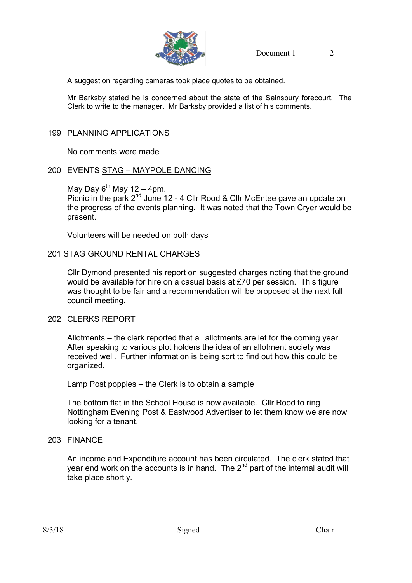

A suggestion regarding cameras took place quotes to be obtained.

Mr Barksby stated he is concerned about the state of the Sainsbury forecourt. The Clerk to write to the manager. Mr Barksby provided a list of his comments.

## 199 PLANNING APPLICATIONS

No comments were made

#### 200 EVENTS STAG – MAYPOLE DANCING

May Day  $6^{th}$  May 12 – 4pm.

Picnic in the park 2<sup>nd</sup> June 12 - 4 Cllr Rood & Cllr McEntee gave an update on the progress of the events planning. It was noted that the Town Cryer would be present.

Volunteers will be needed on both days

#### 201 STAG GROUND RENTAL CHARGES

 Cllr Dymond presented his report on suggested charges noting that the ground would be available for hire on a casual basis at £70 per session. This figure was thought to be fair and a recommendation will be proposed at the next full council meeting.

#### 202 CLERKS REPORT

 Allotments – the clerk reported that all allotments are let for the coming year. After speaking to various plot holders the idea of an allotment society was received well. Further information is being sort to find out how this could be organized.

Lamp Post poppies – the Clerk is to obtain a sample

 The bottom flat in the School House is now available. Cllr Rood to ring Nottingham Evening Post & Eastwood Advertiser to let them know we are now looking for a tenant.

#### 203 FINANCE

 An income and Expenditure account has been circulated. The clerk stated that year end work on the accounts is in hand. The  $2<sup>nd</sup>$  part of the internal audit will take place shortly.